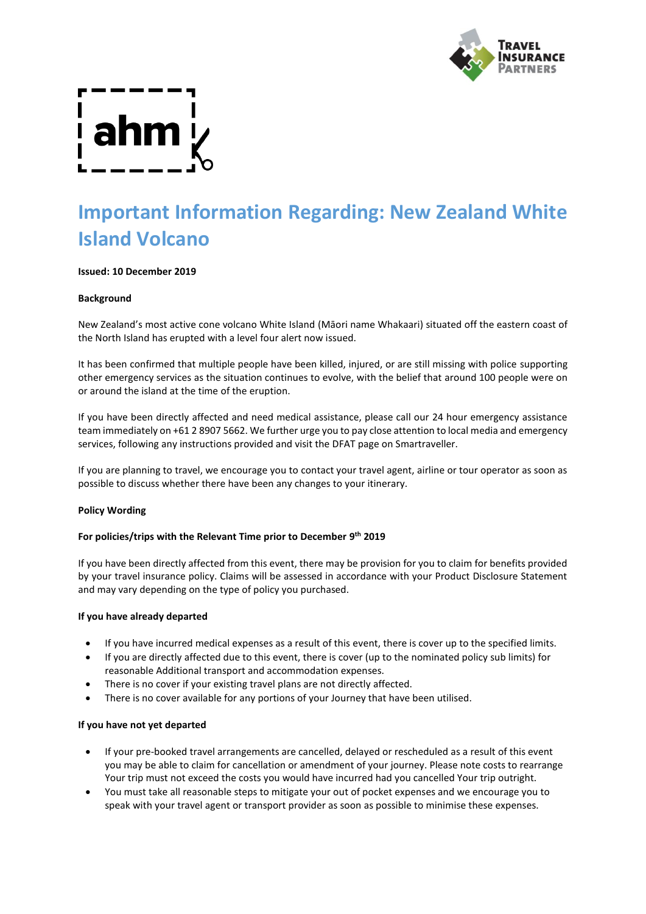

# **Important Information Regarding: New Zealand White Island Volcano**

# **Issued: 10 December 2019**

# **Background**

New Zealand's most active cone volcano White Island (Māori name Whakaari) situated off the eastern coast of the North Island has erupted with a level four alert now issued.

It has been confirmed that multiple people have been killed, injured, or are still missing with police supporting other emergency services as the situation continues to evolve, with the belief that around 100 people were on or around the island at the time of the eruption.

If you have been directly affected and need medical assistance, please call our 24 hour emergency assistance team immediately on +61 2 8907 5662. We further urge you to pay close attention to local media and emergency services, following any instructions provided and visit the DFAT page on Smartraveller.

If you are planning to travel, we encourage you to contact your travel agent, airline or tour operator as soon as possible to discuss whether there have been any changes to your itinerary.

# **Policy Wording**

# **For policies/trips with the Relevant Time prior to December 9 th 2019**

If you have been directly affected from this event, there may be provision for you to claim for benefits provided by your travel insurance policy. Claims will be assessed in accordance with your Product Disclosure Statement and may vary depending on the type of policy you purchased.

# **If you have already departed**

- If you have incurred medical expenses as a result of this event, there is cover up to the specified limits.
- If you are directly affected due to this event, there is cover (up to the nominated policy sub limits) for reasonable Additional transport and accommodation expenses.
- There is no cover if your existing travel plans are not directly affected.
- There is no cover available for any portions of your Journey that have been utilised.

#### **If you have not yet departed**

- If your pre-booked travel arrangements are cancelled, delayed or rescheduled as a result of this event you may be able to claim for cancellation or amendment of your journey. Please note costs to rearrange Your trip must not exceed the costs you would have incurred had you cancelled Your trip outright.
- You must take all reasonable steps to mitigate your out of pocket expenses and we encourage you to speak with your travel agent or transport provider as soon as possible to minimise these expenses.